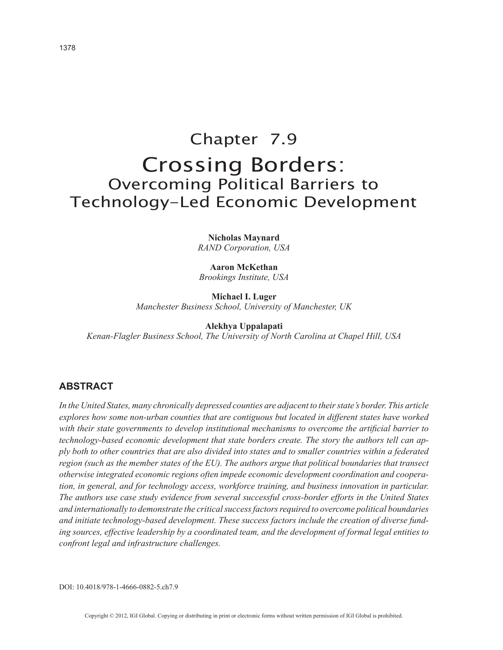# Chapter 7.9 Crossing Borders: Overcoming Political Barriers to Technology-Led Economic Development

**Nicholas Maynard** *RAND Corporation, USA*

**Aaron McKethan** *Brookings Institute, USA*

**Michael I. Luger** *Manchester Business School, University of Manchester, UK*

**Alekhya Uppalapati**

*Kenan-Flagler Business School, The University of North Carolina at Chapel Hill, USA*

## **ABSTRACT**

*In the United States, many chronically depressed counties are adjacent to their state's border. This article explores how some non-urban counties that are contiguous but located in different states have worked with their state governments to develop institutional mechanisms to overcome the artificial barrier to technology-based economic development that state borders create. The story the authors tell can apply both to other countries that are also divided into states and to smaller countries within a federated region (such as the member states of the EU). The authors argue that political boundaries that transect otherwise integrated economic regions often impede economic development coordination and cooperation, in general, and for technology access, workforce training, and business innovation in particular. The authors use case study evidence from several successful cross-border efforts in the United States and internationally to demonstrate the critical success factors required to overcome political boundaries and initiate technology-based development. These success factors include the creation of diverse funding sources, effective leadership by a coordinated team, and the development of formal legal entities to confront legal and infrastructure challenges.*

DOI: 10.4018/978-1-4666-0882-5.ch7.9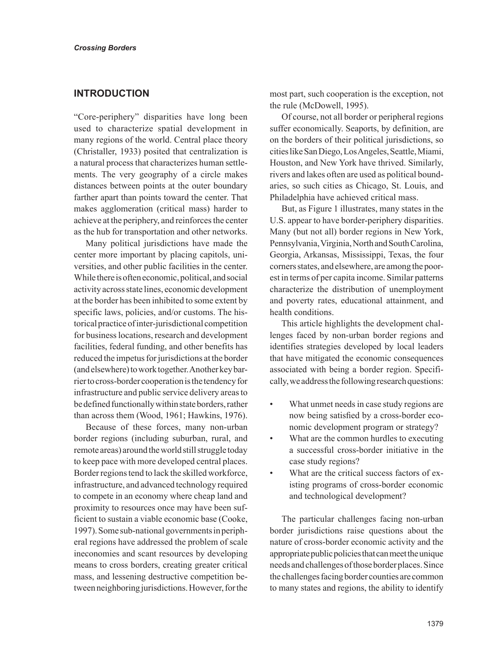## **INTRODUCTION**

"Core-periphery" disparities have long been used to characterize spatial development in many regions of the world. Central place theory (Christaller, 1933) posited that centralization is a natural process that characterizes human settlements. The very geography of a circle makes distances between points at the outer boundary farther apart than points toward the center. That makes agglomeration (critical mass) harder to achieve at the periphery, and reinforces the center as the hub for transportation and other networks.

Many political jurisdictions have made the center more important by placing capitols, universities, and other public facilities in the center. While there is often economic, political, and social activity across state lines, economic development at the border has been inhibited to some extent by specific laws, policies, and/or customs. The historical practice of inter-jurisdictional competition for business locations, research and development facilities, federal funding, and other benefits has reduced the impetus for jurisdictions at the border (and elsewhere) to work together. Another key barrier to cross-border cooperation is the tendency for infrastructure and public service delivery areas to be defined functionally within state borders, rather than across them (Wood, 1961; Hawkins, 1976).

Because of these forces, many non-urban border regions (including suburban, rural, and remote areas) around the world still struggle today to keep pace with more developed central places. Border regions tend to lack the skilled workforce, infrastructure, and advanced technology required to compete in an economy where cheap land and proximity to resources once may have been sufficient to sustain a viable economic base (Cooke, 1997). Some sub-national governments in peripheral regions have addressed the problem of scale ineconomies and scant resources by developing means to cross borders, creating greater critical mass, and lessening destructive competition between neighboring jurisdictions. However, for the

most part, such cooperation is the exception, not the rule (McDowell, 1995).

Of course, not all border or peripheral regions suffer economically. Seaports, by definition, are on the borders of their political jurisdictions, so cities like San Diego, Los Angeles, Seattle, Miami, Houston, and New York have thrived. Similarly, rivers and lakes often are used as political boundaries, so such cities as Chicago, St. Louis, and Philadelphia have achieved critical mass.

But, as Figure 1 illustrates, many states in the U.S. appear to have border-periphery disparities. Many (but not all) border regions in New York, Pennsylvania, Virginia, North and South Carolina, Georgia, Arkansas, Mississippi, Texas, the four corners states, and elsewhere, are among the poorest in terms of per capita income. Similar patterns characterize the distribution of unemployment and poverty rates, educational attainment, and health conditions.

This article highlights the development challenges faced by non-urban border regions and identifies strategies developed by local leaders that have mitigated the economic consequences associated with being a border region. Specifically, we address the following research questions:

- What unmet needs in case study regions are now being satisfied by a cross-border economic development program or strategy?
- What are the common hurdles to executing a successful cross-border initiative in the case study regions?
- What are the critical success factors of existing programs of cross-border economic and technological development?

The particular challenges facing non-urban border jurisdictions raise questions about the nature of cross-border economic activity and the appropriate public policies that can meet the unique needs and challenges of those border places. Since the challenges facing border counties are common to many states and regions, the ability to identify